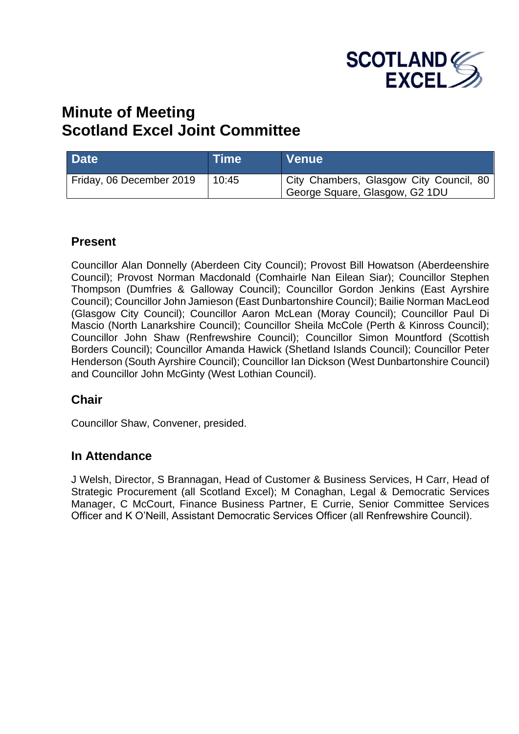

# **Minute of Meeting Scotland Excel Joint Committee**

| <b>Date</b>              | ∣Time | <b>Venue</b>                                                              |
|--------------------------|-------|---------------------------------------------------------------------------|
| Friday, 06 December 2019 | 10:45 | City Chambers, Glasgow City Council, 80<br>George Square, Glasgow, G2 1DU |

### **Present**

Councillor Alan Donnelly (Aberdeen City Council); Provost Bill Howatson (Aberdeenshire Council); Provost Norman Macdonald (Comhairle Nan Eilean Siar); Councillor Stephen Thompson (Dumfries & Galloway Council); Councillor Gordon Jenkins (East Ayrshire Council); Councillor John Jamieson (East Dunbartonshire Council); Bailie Norman MacLeod (Glasgow City Council); Councillor Aaron McLean (Moray Council); Councillor Paul Di Mascio (North Lanarkshire Council); Councillor Sheila McCole (Perth & Kinross Council); Councillor John Shaw (Renfrewshire Council); Councillor Simon Mountford (Scottish Borders Council); Councillor Amanda Hawick (Shetland Islands Council); Councillor Peter Henderson (South Ayrshire Council); Councillor Ian Dickson (West Dunbartonshire Council) and Councillor John McGinty (West Lothian Council).

### **Chair**

Councillor Shaw, Convener, presided.

### **In Attendance**

J Welsh, Director, S Brannagan, Head of Customer & Business Services, H Carr, Head of Strategic Procurement (all Scotland Excel); M Conaghan, Legal & Democratic Services Manager, C McCourt, Finance Business Partner, E Currie, Senior Committee Services Officer and K O'Neill, Assistant Democratic Services Officer (all Renfrewshire Council).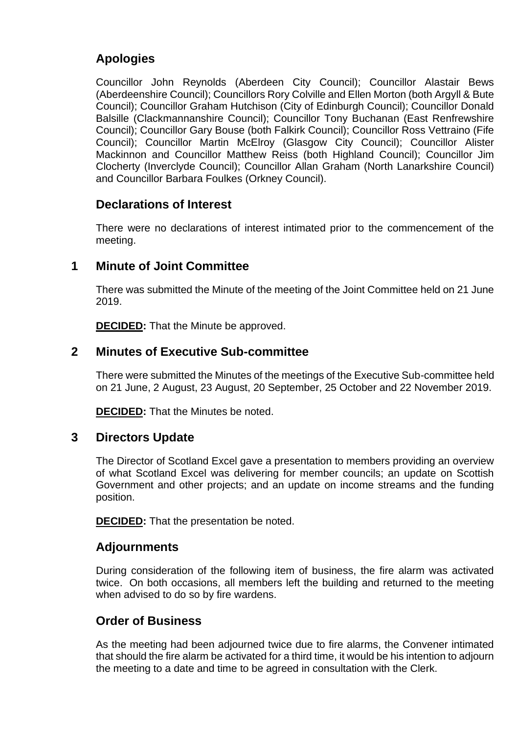# **Apologies**

Councillor John Reynolds (Aberdeen City Council); Councillor Alastair Bews (Aberdeenshire Council); Councillors Rory Colville and Ellen Morton (both Argyll & Bute Council); Councillor Graham Hutchison (City of Edinburgh Council); Councillor Donald Balsille (Clackmannanshire Council); Councillor Tony Buchanan (East Renfrewshire Council); Councillor Gary Bouse (both Falkirk Council); Councillor Ross Vettraino (Fife Council); Councillor Martin McElroy (Glasgow City Council); Councillor Alister Mackinnon and Councillor Matthew Reiss (both Highland Council); Councillor Jim Clocherty (Inverclyde Council); Councillor Allan Graham (North Lanarkshire Council) and Councillor Barbara Foulkes (Orkney Council).

# **Declarations of Interest**

There were no declarations of interest intimated prior to the commencement of the meeting.

# **1 Minute of Joint Committee**

There was submitted the Minute of the meeting of the Joint Committee held on 21 June 2019.

**DECIDED:** That the Minute be approved.

# **2 Minutes of Executive Sub-committee**

There were submitted the Minutes of the meetings of the Executive Sub-committee held on 21 June, 2 August, 23 August, 20 September, 25 October and 22 November 2019.

**DECIDED:** That the Minutes be noted.

# **3 Directors Update**

The Director of Scotland Excel gave a presentation to members providing an overview of what Scotland Excel was delivering for member councils; an update on Scottish Government and other projects; and an update on income streams and the funding position.

**DECIDED:** That the presentation be noted.

# **Adjournments**

During consideration of the following item of business, the fire alarm was activated twice. On both occasions, all members left the building and returned to the meeting when advised to do so by fire wardens.

# **Order of Business**

As the meeting had been adjourned twice due to fire alarms, the Convener intimated that should the fire alarm be activated for a third time, it would be his intention to adjourn the meeting to a date and time to be agreed in consultation with the Clerk.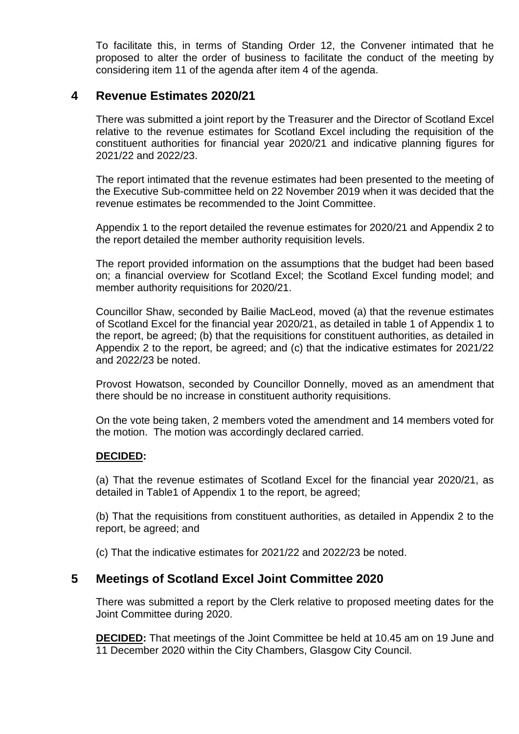To facilitate this, in terms of Standing Order 12, the Convener intimated that he proposed to alter the order of business to facilitate the conduct of the meeting by considering item 11 of the agenda after item 4 of the agenda.

# **4 Revenue Estimates 2020/21**

There was submitted a joint report by the Treasurer and the Director of Scotland Excel relative to the revenue estimates for Scotland Excel including the requisition of the constituent authorities for financial year 2020/21 and indicative planning figures for 2021/22 and 2022/23.

The report intimated that the revenue estimates had been presented to the meeting of the Executive Sub-committee held on 22 November 2019 when it was decided that the revenue estimates be recommended to the Joint Committee.

Appendix 1 to the report detailed the revenue estimates for 2020/21 and Appendix 2 to the report detailed the member authority requisition levels.

The report provided information on the assumptions that the budget had been based on; a financial overview for Scotland Excel; the Scotland Excel funding model; and member authority requisitions for 2020/21.

Councillor Shaw, seconded by Bailie MacLeod, moved (a) that the revenue estimates of Scotland Excel for the financial year 2020/21, as detailed in table 1 of Appendix 1 to the report, be agreed; (b) that the requisitions for constituent authorities, as detailed in Appendix 2 to the report, be agreed; and (c) that the indicative estimates for 2021/22 and 2022/23 be noted.

Provost Howatson, seconded by Councillor Donnelly, moved as an amendment that there should be no increase in constituent authority requisitions.

On the vote being taken, 2 members voted the amendment and 14 members voted for the motion. The motion was accordingly declared carried.

#### **DECIDED:**

(a) That the revenue estimates of Scotland Excel for the financial year 2020/21, as detailed in Table1 of Appendix 1 to the report, be agreed;

(b) That the requisitions from constituent authorities, as detailed in Appendix 2 to the report, be agreed; and

(c) That the indicative estimates for 2021/22 and 2022/23 be noted.

## **5 Meetings of Scotland Excel Joint Committee 2020**

There was submitted a report by the Clerk relative to proposed meeting dates for the Joint Committee during 2020.

**DECIDED:** That meetings of the Joint Committee be held at 10.45 am on 19 June and 11 December 2020 within the City Chambers, Glasgow City Council.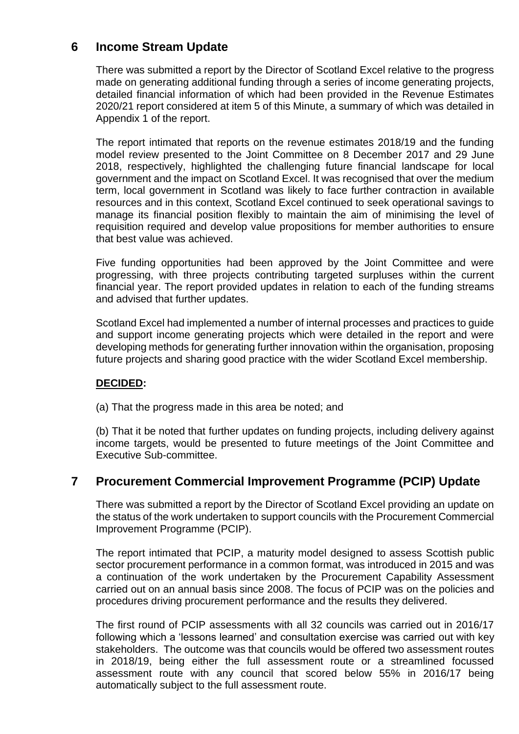# **6 Income Stream Update**

There was submitted a report by the Director of Scotland Excel relative to the progress made on generating additional funding through a series of income generating projects, detailed financial information of which had been provided in the Revenue Estimates 2020/21 report considered at item 5 of this Minute, a summary of which was detailed in Appendix 1 of the report.

The report intimated that reports on the revenue estimates 2018/19 and the funding model review presented to the Joint Committee on 8 December 2017 and 29 June 2018, respectively, highlighted the challenging future financial landscape for local government and the impact on Scotland Excel. It was recognised that over the medium term, local government in Scotland was likely to face further contraction in available resources and in this context, Scotland Excel continued to seek operational savings to manage its financial position flexibly to maintain the aim of minimising the level of requisition required and develop value propositions for member authorities to ensure that best value was achieved.

Five funding opportunities had been approved by the Joint Committee and were progressing, with three projects contributing targeted surpluses within the current financial year. The report provided updates in relation to each of the funding streams and advised that further updates.

Scotland Excel had implemented a number of internal processes and practices to guide and support income generating projects which were detailed in the report and were developing methods for generating further innovation within the organisation, proposing future projects and sharing good practice with the wider Scotland Excel membership.

### **DECIDED:**

(a) That the progress made in this area be noted; and

(b) That it be noted that further updates on funding projects, including delivery against income targets, would be presented to future meetings of the Joint Committee and Executive Sub-committee.

# **7 Procurement Commercial Improvement Programme (PCIP) Update**

There was submitted a report by the Director of Scotland Excel providing an update on the status of the work undertaken to support councils with the Procurement Commercial Improvement Programme (PCIP).

The report intimated that PCIP, a maturity model designed to assess Scottish public sector procurement performance in a common format, was introduced in 2015 and was a continuation of the work undertaken by the Procurement Capability Assessment carried out on an annual basis since 2008. The focus of PCIP was on the policies and procedures driving procurement performance and the results they delivered.

The first round of PCIP assessments with all 32 councils was carried out in 2016/17 following which a 'lessons learned' and consultation exercise was carried out with key stakeholders. The outcome was that councils would be offered two assessment routes in 2018/19, being either the full assessment route or a streamlined focussed assessment route with any council that scored below 55% in 2016/17 being automatically subject to the full assessment route.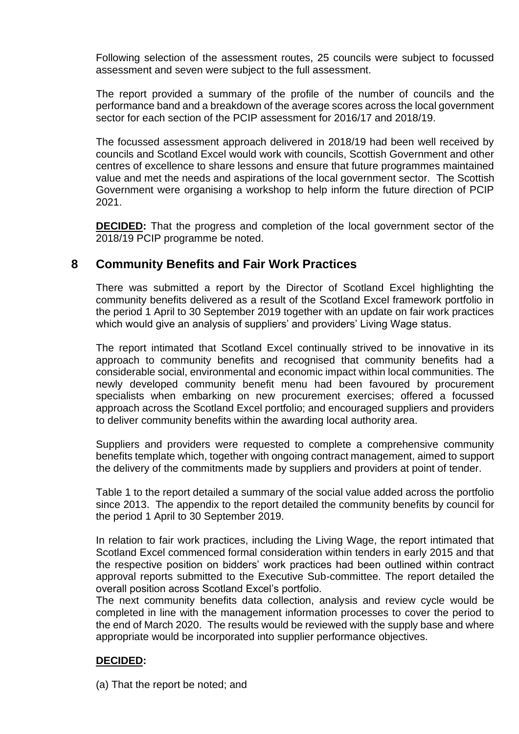Following selection of the assessment routes, 25 councils were subject to focussed assessment and seven were subject to the full assessment.

The report provided a summary of the profile of the number of councils and the performance band and a breakdown of the average scores across the local government sector for each section of the PCIP assessment for 2016/17 and 2018/19.

The focussed assessment approach delivered in 2018/19 had been well received by councils and Scotland Excel would work with councils, Scottish Government and other centres of excellence to share lessons and ensure that future programmes maintained value and met the needs and aspirations of the local government sector. The Scottish Government were organising a workshop to help inform the future direction of PCIP 2021.

**DECIDED:** That the progress and completion of the local government sector of the 2018/19 PCIP programme be noted.

# **8 Community Benefits and Fair Work Practices**

There was submitted a report by the Director of Scotland Excel highlighting the community benefits delivered as a result of the Scotland Excel framework portfolio in the period 1 April to 30 September 2019 together with an update on fair work practices which would give an analysis of suppliers' and providers' Living Wage status.

The report intimated that Scotland Excel continually strived to be innovative in its approach to community benefits and recognised that community benefits had a considerable social, environmental and economic impact within local communities. The newly developed community benefit menu had been favoured by procurement specialists when embarking on new procurement exercises; offered a focussed approach across the Scotland Excel portfolio; and encouraged suppliers and providers to deliver community benefits within the awarding local authority area.

Suppliers and providers were requested to complete a comprehensive community benefits template which, together with ongoing contract management, aimed to support the delivery of the commitments made by suppliers and providers at point of tender.

Table 1 to the report detailed a summary of the social value added across the portfolio since 2013. The appendix to the report detailed the community benefits by council for the period 1 April to 30 September 2019.

In relation to fair work practices, including the Living Wage, the report intimated that Scotland Excel commenced formal consideration within tenders in early 2015 and that the respective position on bidders' work practices had been outlined within contract approval reports submitted to the Executive Sub-committee. The report detailed the overall position across Scotland Excel's portfolio.

The next community benefits data collection, analysis and review cycle would be completed in line with the management information processes to cover the period to the end of March 2020. The results would be reviewed with the supply base and where appropriate would be incorporated into supplier performance objectives.

### **DECIDED:**

(a) That the report be noted; and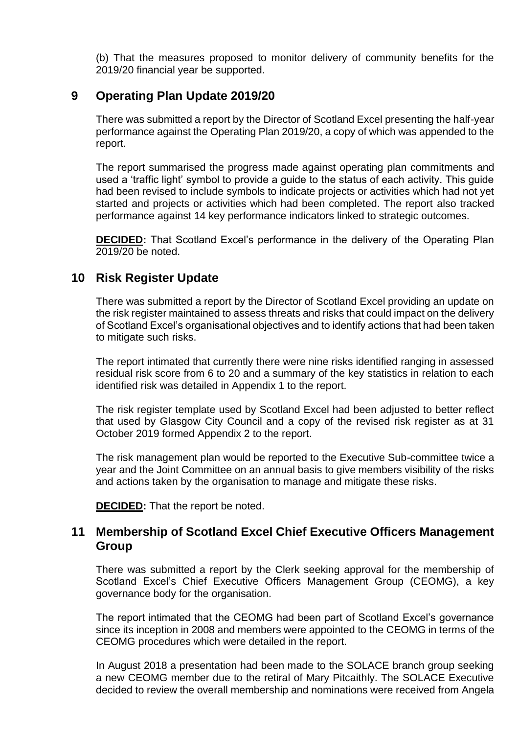(b) That the measures proposed to monitor delivery of community benefits for the 2019/20 financial year be supported.

# **9 Operating Plan Update 2019/20**

There was submitted a report by the Director of Scotland Excel presenting the half-year performance against the Operating Plan 2019/20, a copy of which was appended to the report.

The report summarised the progress made against operating plan commitments and used a 'traffic light' symbol to provide a guide to the status of each activity. This guide had been revised to include symbols to indicate projects or activities which had not yet started and projects or activities which had been completed. The report also tracked performance against 14 key performance indicators linked to strategic outcomes.

**DECIDED:** That Scotland Excel's performance in the delivery of the Operating Plan 2019/20 be noted.

# **10 Risk Register Update**

There was submitted a report by the Director of Scotland Excel providing an update on the risk register maintained to assess threats and risks that could impact on the delivery of Scotland Excel's organisational objectives and to identify actions that had been taken to mitigate such risks.

The report intimated that currently there were nine risks identified ranging in assessed residual risk score from 6 to 20 and a summary of the key statistics in relation to each identified risk was detailed in Appendix 1 to the report.

The risk register template used by Scotland Excel had been adjusted to better reflect that used by Glasgow City Council and a copy of the revised risk register as at 31 October 2019 formed Appendix 2 to the report.

The risk management plan would be reported to the Executive Sub-committee twice a year and the Joint Committee on an annual basis to give members visibility of the risks and actions taken by the organisation to manage and mitigate these risks.

**DECIDED:** That the report be noted.

# **11 Membership of Scotland Excel Chief Executive Officers Management Group**

There was submitted a report by the Clerk seeking approval for the membership of Scotland Excel's Chief Executive Officers Management Group (CEOMG), a key governance body for the organisation.

The report intimated that the CEOMG had been part of Scotland Excel's governance since its inception in 2008 and members were appointed to the CEOMG in terms of the CEOMG procedures which were detailed in the report.

In August 2018 a presentation had been made to the SOLACE branch group seeking a new CEOMG member due to the retiral of Mary Pitcaithly. The SOLACE Executive decided to review the overall membership and nominations were received from Angela